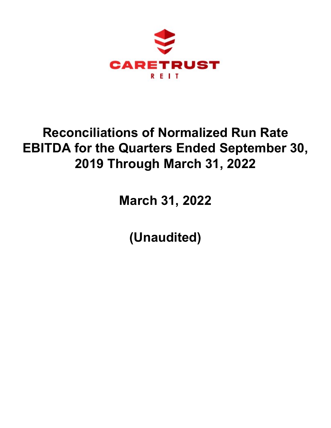

# **Reconciliations of Normalized Run Rate EBITDA for the Quarters Ended September 30, 2019 Through March 31, 2022**

**March 31, 2022**

**(Unaudited)**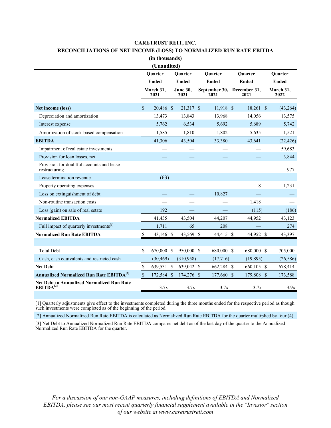### **CARETRUST REIT, INC.**

# **RECONCILIATIONS OF NET INCOME (LOSS) TO NORMALIZED RUN RATE EBITDA**

**(in thousands)**

| (Unaudited)                                                         |                           |                   |                    |                                |  |                                |  |                                |  |                   |  |  |
|---------------------------------------------------------------------|---------------------------|-------------------|--------------------|--------------------------------|--|--------------------------------|--|--------------------------------|--|-------------------|--|--|
|                                                                     | Quarter<br><b>Ended</b>   |                   |                    | <b>Ouarter</b><br><b>Ended</b> |  | <b>Ouarter</b><br><b>Ended</b> |  | <b>Ouarter</b><br><b>Ended</b> |  | <b>Ouarter</b>    |  |  |
|                                                                     |                           |                   |                    |                                |  |                                |  |                                |  | <b>Ended</b>      |  |  |
|                                                                     |                           | March 31,<br>2021 |                    | <b>June 30,</b><br>2021        |  | September 30,<br>2021          |  | December 31,<br>2021           |  | March 31,<br>2022 |  |  |
| Net income (loss)                                                   | $\mathbb{S}$              | 20,486 \$         |                    | 21,317 \$                      |  | $11,918$ \$                    |  | 18,261 \$                      |  | (43,264)          |  |  |
| Depreciation and amortization                                       |                           | 13,473            |                    | 13,843                         |  | 13,968                         |  | 14,056                         |  | 13,575            |  |  |
| Interest expense                                                    |                           | 5,762             |                    | 6,534                          |  | 5,692                          |  | 5,689                          |  | 5,742             |  |  |
| Amortization of stock-based compensation                            |                           | 1,585             |                    | 1,810                          |  | 1,802                          |  | 5,635                          |  | 1,521             |  |  |
| <b>EBITDA</b>                                                       |                           | 41,306            |                    | 43,504                         |  | 33,380                         |  | 43,641                         |  | (22, 426)         |  |  |
| Impairment of real estate investments                               |                           |                   |                    |                                |  |                                |  |                                |  | 59,683            |  |  |
| Provision for loan losses, net                                      |                           |                   |                    |                                |  |                                |  |                                |  | 3,844             |  |  |
| Provision for doubtful accounts and lease<br>restructuring          |                           |                   |                    |                                |  |                                |  |                                |  | 977               |  |  |
| Lease termination revenue                                           |                           | (63)              |                    |                                |  |                                |  |                                |  |                   |  |  |
| Property operating expenses                                         |                           |                   |                    |                                |  |                                |  | 8                              |  | 1,231             |  |  |
| Loss on extinguishment of debt                                      |                           |                   |                    |                                |  | 10,827                         |  |                                |  |                   |  |  |
| Non-routine transaction costs                                       |                           |                   |                    |                                |  |                                |  | 1,418                          |  |                   |  |  |
| Loss (gain) on sale of real estate                                  |                           | 192               |                    |                                |  |                                |  | (115)                          |  | (186)             |  |  |
| <b>Normalized EBITDA</b>                                            |                           | 41,435            |                    | 43,504                         |  | 44,207                         |  | 44,952                         |  | 43,123            |  |  |
| Full impact of quarterly investments[1]                             |                           | 1,711             |                    | 65                             |  | 208                            |  |                                |  | 274               |  |  |
| <b>Normalized Run Rate EBITDA</b>                                   | $\boldsymbol{\mathsf{S}}$ | 43,146            | $\mathcal{S}$      | 43,569 \$                      |  | 44,415 \$                      |  | 44,952 \$                      |  | 43,397            |  |  |
|                                                                     |                           |                   |                    |                                |  |                                |  |                                |  |                   |  |  |
| <b>Total Debt</b>                                                   | \$                        | 670,000           | $\mathcal{S}$      | 950,000 \$                     |  | 680,000 \$                     |  | 680,000 \$                     |  | 705,000           |  |  |
| Cash, cash equivalents and restricted cash                          |                           | (30, 469)         |                    | (310,958)                      |  | (17,716)                       |  | (19, 895)                      |  | (26, 586)         |  |  |
| <b>Net Debt</b>                                                     | \$                        | 639,531           | $\mathbf{\$}$      | 639,042 \$                     |  | 662,284 \$                     |  | 660,105 \$                     |  | 678,414           |  |  |
| <b>Annualized Normalized Run Rate EBITDA<sup>[2]</sup></b>          | $\mathbb{S}$              | 172,584           | $\mathbf{\hat{s}}$ | 174,276 \$                     |  | 177,660 \$                     |  | 179,808 \$                     |  | 173,588           |  |  |
| Net Debt to Annualized Normalized Run Rate<br>EBITDA <sup>[3]</sup> |                           | 3.7x              |                    | 3.7x                           |  | 3.7x                           |  | 3.7x                           |  | 3.9x              |  |  |

[1] Quarterly adjustments give effect to the investments completed during the three months ended for the respective period as though such investments were completed as of the beginning of the period.

[2] Annualized Normalized Run Rate EBITDA is calculated as Normalized Run Rate EBITDA for the quarter multiplied by four (4).

[3] Net Debt to Annualized Normalized Run Rate EBITDA compares net debt as of the last day of the quarter to the Annualized Normalized Run Rate EBITDA for the quarter.

*For a discussion of our non-GAAP measures, including definitions of EBITDA and Normalized EBITDA, please see our most recent quarterly financial supplement available in the "Investor" section of our website at www.caretrustreit.com*